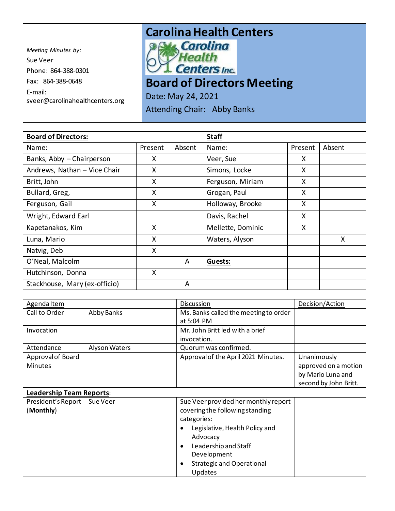*Meeting Minutes by:*  Sue Veer Phone: 864-388-0301 Fax: 864-388-0648 E-mail: sveer@carolinahealthcenters.org



## **Board of Directors Meeting**

Date: May 24, 2021

Attending Chair: Abby Banks

| <b>Board of Directors:</b>    |         |        | <b>Staff</b>      |         |        |
|-------------------------------|---------|--------|-------------------|---------|--------|
| Name:                         | Present | Absent | Name:             | Present | Absent |
| Banks, Abby - Chairperson     | X       |        | Veer, Sue         | X       |        |
| Andrews, Nathan - Vice Chair  | X       |        | Simons, Locke     | X       |        |
| Britt, John                   | X       |        | Ferguson, Miriam  | X       |        |
| Bullard, Greg,                | X       |        | Grogan, Paul      | X       |        |
| Ferguson, Gail                | X       |        | Holloway, Brooke  | X       |        |
| Wright, Edward Earl           |         |        | Davis, Rachel     | X       |        |
| Kapetanakos, Kim              | X       |        | Mellette, Dominic | X       |        |
| Luna, Mario                   | X       |        | Waters, Alyson    |         | X      |
| Natvig, Deb                   | X       |        |                   |         |        |
| O'Neal, Malcolm               |         | A      | <b>Guests:</b>    |         |        |
| Hutchinson, Donna             | X       |        |                   |         |        |
| Stackhouse, Mary (ex-officio) |         | A      |                   |         |        |

| Agenda Item                     |               | <b>Discussion</b>                             | Decision/Action       |
|---------------------------------|---------------|-----------------------------------------------|-----------------------|
| Call to Order                   | Abby Banks    | Ms. Banks called the meeting to order         |                       |
|                                 |               | at 5:04 PM                                    |                       |
| Invocation                      |               | Mr. John Britt led with a brief               |                       |
|                                 |               | invocation.                                   |                       |
| Attendance                      | Alyson Waters | Quorum was confirmed.                         |                       |
| Approval of Board               |               | Approval of the April 2021 Minutes.           | Unanimously           |
| <b>Minutes</b>                  |               |                                               | approved on a motion  |
|                                 |               |                                               | by Mario Luna and     |
|                                 |               |                                               | second by John Britt. |
| <b>Leadership Team Reports:</b> |               |                                               |                       |
| President's Report              | Sue Veer      | Sue Veer provided her monthly report          |                       |
| (Monthly)                       |               | covering the following standing               |                       |
|                                 |               | categories:                                   |                       |
|                                 |               | Legislative, Health Policy and<br>$\bullet$   |                       |
|                                 |               | Advocacy                                      |                       |
|                                 |               | Leadership and Staff<br>$\bullet$             |                       |
|                                 |               | Development                                   |                       |
|                                 |               | <b>Strategic and Operational</b><br>$\bullet$ |                       |
|                                 |               | <b>Updates</b>                                |                       |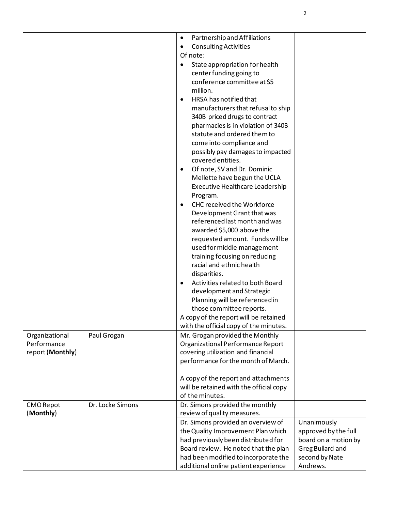|                  |                  | Partnership and Affiliations<br>$\bullet$      |                      |
|------------------|------------------|------------------------------------------------|----------------------|
|                  |                  | <b>Consulting Activities</b><br>$\bullet$      |                      |
|                  |                  | Of note:                                       |                      |
|                  |                  | State appropriation for health                 |                      |
|                  |                  | center funding going to                        |                      |
|                  |                  | conference committee at \$5                    |                      |
|                  |                  | million.                                       |                      |
|                  |                  | HRSA has notified that                         |                      |
|                  |                  | manufacturers that refusal to ship             |                      |
|                  |                  | 340B priced drugs to contract                  |                      |
|                  |                  | pharmacies is in violation of 340B             |                      |
|                  |                  | statute and ordered them to                    |                      |
|                  |                  | come into compliance and                       |                      |
|                  |                  | possibly pay damages to impacted               |                      |
|                  |                  | covered entities.                              |                      |
|                  |                  | Of note, SV and Dr. Dominic<br>$\bullet$       |                      |
|                  |                  | Mellette have begun the UCLA                   |                      |
|                  |                  | Executive Healthcare Leadership                |                      |
|                  |                  | Program.                                       |                      |
|                  |                  | <b>CHC received the Workforce</b><br>$\bullet$ |                      |
|                  |                  | Development Grant that was                     |                      |
|                  |                  | referenced last month and was                  |                      |
|                  |                  | awarded \$5,000 above the                      |                      |
|                  |                  | requested amount. Funds will be                |                      |
|                  |                  | used for middle management                     |                      |
|                  |                  | training focusing on reducing                  |                      |
|                  |                  | racial and ethnic health                       |                      |
|                  |                  | disparities.                                   |                      |
|                  |                  | Activities related to both Board               |                      |
|                  |                  | development and Strategic                      |                      |
|                  |                  | Planning will be referenced in                 |                      |
|                  |                  | those committee reports.                       |                      |
|                  |                  | A copy of the report will be retained          |                      |
|                  |                  | with the official copy of the minutes.         |                      |
| Organizational   | Paul Grogan      | Mr. Grogan provided the Monthly                |                      |
| Performance      |                  | Organizational Performance Report              |                      |
| report (Monthly) |                  | covering utilization and financial             |                      |
|                  |                  | performance for the month of March.            |                      |
|                  |                  |                                                |                      |
|                  |                  | A copy of the report and attachments           |                      |
|                  |                  | will be retained with the official copy        |                      |
|                  |                  | of the minutes.                                |                      |
| <b>CMO Repot</b> | Dr. Locke Simons | Dr. Simons provided the monthly                |                      |
| (Monthly)        |                  | review of quality measures.                    |                      |
|                  |                  | Dr. Simons provided an overview of             | Unanimously          |
|                  |                  | the Quality Improvement Plan which             | approved by the full |
|                  |                  | had previously been distributed for            | board on a motion by |
|                  |                  | Board review. He noted that the plan           | Greg Bullard and     |
|                  |                  | had been modified to incorporate the           | second by Nate       |
|                  |                  | additional online patient experience           | Andrews.             |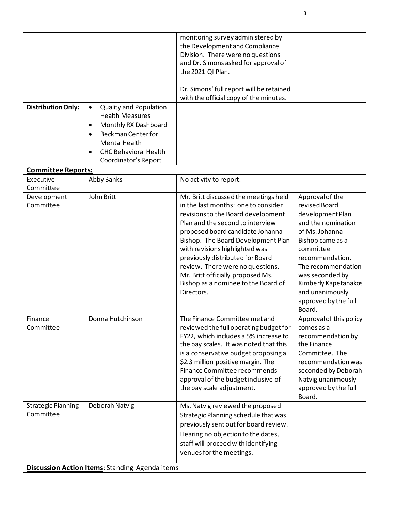| <b>Distribution Only:</b>              | <b>Quality and Population</b><br>$\bullet$<br><b>Health Measures</b><br>Monthly RX Dashboard<br>$\bullet$<br><b>Beckman Center for</b><br>$\bullet$<br>Mental Health<br><b>CHC Behavioral Health</b><br>Coordinator's Report | monitoring survey administered by<br>the Development and Compliance<br>Division. There were no questions<br>and Dr. Simons asked for approval of<br>the 2021 QI Plan.<br>Dr. Simons' full report will be retained<br>with the official copy of the minutes.                                                                                                                                                                          |                                                                                                                                                                                                                                                                        |
|----------------------------------------|------------------------------------------------------------------------------------------------------------------------------------------------------------------------------------------------------------------------------|--------------------------------------------------------------------------------------------------------------------------------------------------------------------------------------------------------------------------------------------------------------------------------------------------------------------------------------------------------------------------------------------------------------------------------------|------------------------------------------------------------------------------------------------------------------------------------------------------------------------------------------------------------------------------------------------------------------------|
| <b>Committee Reports:</b>              |                                                                                                                                                                                                                              |                                                                                                                                                                                                                                                                                                                                                                                                                                      |                                                                                                                                                                                                                                                                        |
| Executive<br>Committee                 | Abby Banks                                                                                                                                                                                                                   | No activity to report.                                                                                                                                                                                                                                                                                                                                                                                                               |                                                                                                                                                                                                                                                                        |
| Development<br>Committee               | John Britt                                                                                                                                                                                                                   | Mr. Britt discussed the meetings held<br>in the last months: one to consider<br>revisions to the Board development<br>Plan and the second to interview<br>proposed board candidate Johanna<br>Bishop. The Board Development Plan<br>with revisions highlighted was<br>previously distributed for Board<br>review. There were no questions.<br>Mr. Britt officially proposed Ms.<br>Bishop as a nominee to the Board of<br>Directors. | Approval of the<br>revised Board<br>development Plan<br>and the nomination<br>of Ms. Johanna<br>Bishop came as a<br>committee<br>recommendation.<br>The recommendation<br>was seconded by<br>Kimberly Kapetanakos<br>and unanimously<br>approved by the full<br>Board. |
| Finance<br>Committee                   | Donna Hutchinson                                                                                                                                                                                                             | The Finance Committee met and<br>reviewed the full operating budget for<br>FY22, which includes a 5% increase to<br>the pay scales. It was noted that this<br>is a conservative budget proposing a<br>\$2.3 million positive margin. The<br>Finance Committee recommends<br>approval of the budget inclusive of<br>the pay scale adjustment.                                                                                         | Approval of this policy<br>comes as a<br>recommendation by<br>the Finance<br>Committee. The<br>recommendation was<br>seconded by Deborah<br>Natvig unanimously<br>approved by the full<br>Board.                                                                       |
| <b>Strategic Planning</b><br>Committee | Deborah Natvig                                                                                                                                                                                                               | Ms. Natvig reviewed the proposed<br>Strategic Planning schedule that was<br>previously sent out for board review.<br>Hearing no objection to the dates,<br>staff will proceed with identifying<br>venues for the meetings.                                                                                                                                                                                                           |                                                                                                                                                                                                                                                                        |
|                                        | <b>Discussion Action Items: Standing Agenda items</b>                                                                                                                                                                        |                                                                                                                                                                                                                                                                                                                                                                                                                                      |                                                                                                                                                                                                                                                                        |